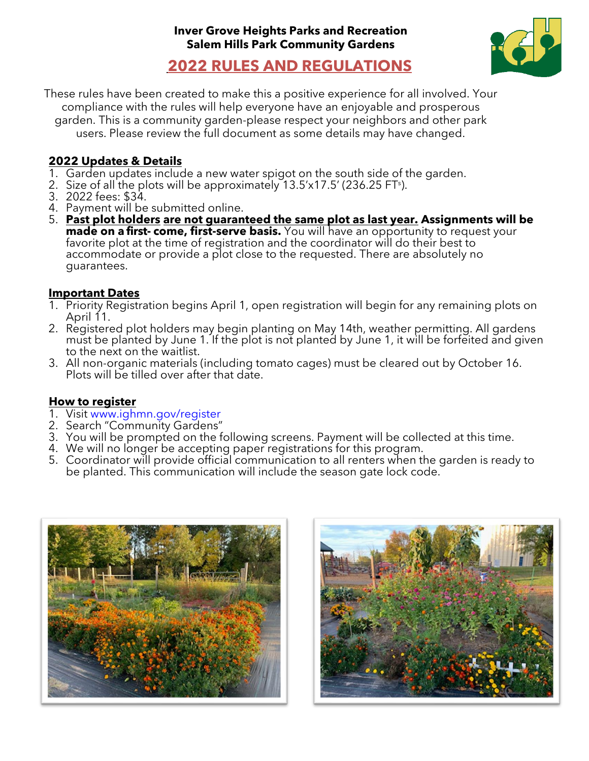

**2022 RULES AND REGULATIONS**

These rules have been created to make this a positive experience for all involved. Your compliance with the rules will help everyone have an enjoyable and prosperous garden. This is a community garden-please respect your neighbors and other park users. Please review the full document as some details may have changed.

## **2022 Updates & Details**

- 1. Garden updates include a new water spigot on the south side of the garden.
- 2. Size of all the plots will be approximately 13.5'x17.5' (236.25 FT<sup>s</sup>).
- 3. 2022 fees: \$34.
- 4. Payment will be submitted online.
- 5. **Past plot holders are not guaranteed the same plot as last year. Assignments will be made on a first- come, first-serve basis.** You will have an opportunity to request your favorite plot at the time of registration and the coordinator will do their best to accommodate or provide a plot close to the requested. There are absolutely no guarantees.

### **Important Dates**

- 1. Priority Registration begins April 1, open registration will begin for any remaining plots on April 11.
- 2. Registered plot holders may begin planting on May 14th, weather permitting. All gardens must be planted by June 1. If the plot is not planted by June 1, it will be forfeited and given to the next on the waitlist.
- 3. All non-organic materials (including tomato cages) must be cleared out by October 16. Plots will be tilled over after that date.

#### **How to register**

- 1. Visit [www.ighmn.gov/register](http://www.ighmn.gov/register)
- 2. Search "Community Gardens"
- 3. You will be prompted on the following screens. Payment will be collected at this time.
- 4. We will no longer be accepting paper registrations for this program.
- 5. Coordinator will provide official communication to all renters when the garden is ready to be planted. This communication will include the season gate lock code.